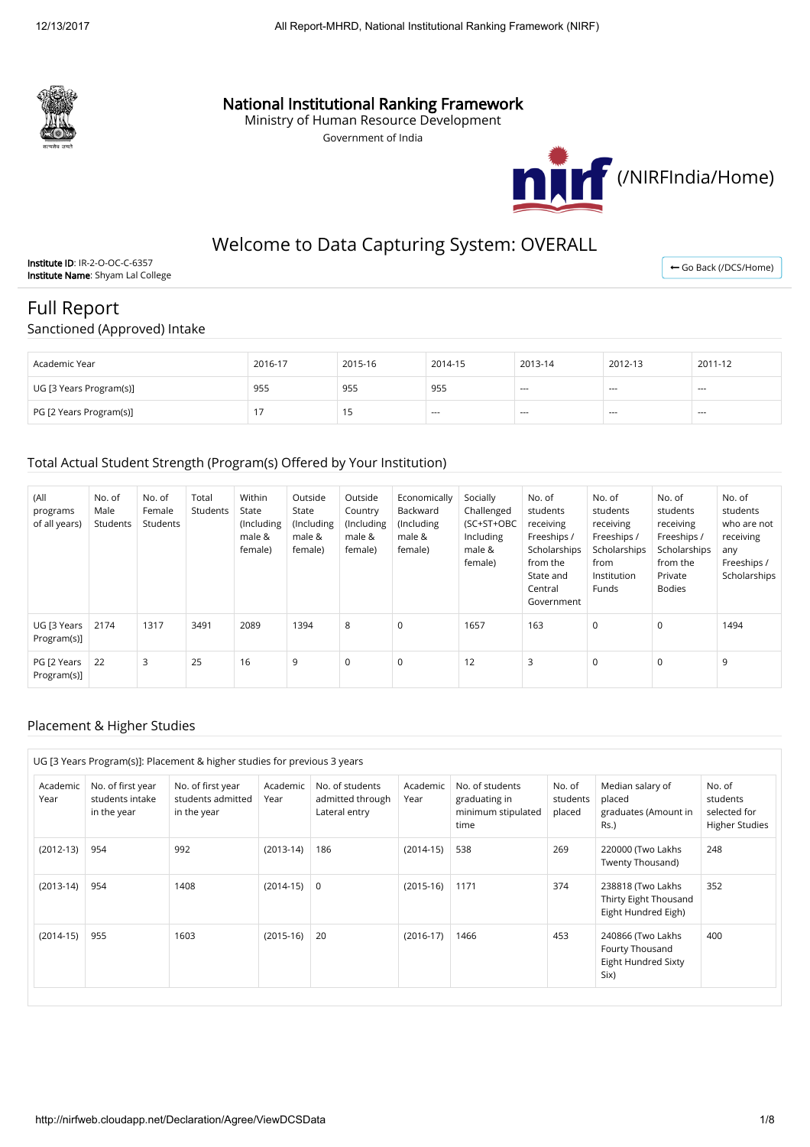

# National Institutional Ranking Framework

Ministry of Human Resource Development

Government of India



# Welcome to Data Capturing System: OVERALL

Institute ID: IR-2-O-OC-C-6357 Institute Name: Shyam Lal College

← [Go Back \(/DCS/Home\)](http://nirfweb.cloudapp.net/DCS/Home)

# Full Report Sanctioned (Approved) Intake

| Academic Year           | 2016-17 | 2015-16 | 2014-15 | 2013-14 | 2012-13 | 2011-12 |
|-------------------------|---------|---------|---------|---------|---------|---------|
| UG [3 Years Program(s)] | 955     | 955     | 955     | $- - -$ | $- - -$ | $--$    |
| PG [2 Years Program(s)] |         | ر ،     | $- - -$ | $- - -$ | $- - -$ | ---     |

### Total Actual Student Strength (Program(s) Offered by Your Institution)

| (All<br>programs<br>of all years) | No. of<br>Male<br>Students | No. of<br>Female<br>Students | Total<br>Students | Within<br>State<br>(Including<br>male &<br>female) | Outside<br>State<br>(Including<br>male &<br>female) | Outside<br>Country<br>(Including<br>male &<br>female) | Economically<br>Backward<br>(Including)<br>male &<br>female) | Socially<br>Challenged<br>(SC+ST+OBC<br>Including<br>male &<br>female) | No. of<br>students<br>receiving<br>Freeships /<br>Scholarships<br>from the<br>State and<br>Central<br>Government | No. of<br>students<br>receiving<br>Freeships /<br>Scholarships<br>from<br>Institution<br>Funds | No. of<br>students<br>receiving<br>Freeships /<br>Scholarships<br>from the<br>Private<br><b>Bodies</b> | No. of<br>students<br>who are not<br>receiving<br>any<br>Freeships /<br>Scholarships |
|-----------------------------------|----------------------------|------------------------------|-------------------|----------------------------------------------------|-----------------------------------------------------|-------------------------------------------------------|--------------------------------------------------------------|------------------------------------------------------------------------|------------------------------------------------------------------------------------------------------------------|------------------------------------------------------------------------------------------------|--------------------------------------------------------------------------------------------------------|--------------------------------------------------------------------------------------|
| UG [3 Years<br>Program(s)]        | 2174                       | 1317                         | 3491              | 2089                                               | 1394                                                | 8                                                     | $\mathbf 0$                                                  | 1657                                                                   | 163                                                                                                              | 0                                                                                              | 0                                                                                                      | 1494                                                                                 |
| PG [2 Years<br>Program(s)]        | 22                         | 3                            | 25                | 16                                                 | 9                                                   | $\mathsf 0$                                           | 0                                                            | 12                                                                     | 3                                                                                                                | 0                                                                                              | $\mathbf 0$                                                                                            | 9                                                                                    |

#### Placement & Higher Studies

|                  |                                                     | UG [3 Years Program(s)]: Placement & higher studies for previous 3 years |                  |                                                      |                  |                                                                |                              |                                                                     |                                                             |
|------------------|-----------------------------------------------------|--------------------------------------------------------------------------|------------------|------------------------------------------------------|------------------|----------------------------------------------------------------|------------------------------|---------------------------------------------------------------------|-------------------------------------------------------------|
| Academic<br>Year | No. of first year<br>students intake<br>in the year | No. of first year<br>students admitted<br>in the year                    | Academic<br>Year | No. of students<br>admitted through<br>Lateral entry | Academic<br>Year | No. of students<br>graduating in<br>minimum stipulated<br>time | No. of<br>students<br>placed | Median salary of<br>placed<br>graduates (Amount in<br>$Rs.$ )       | No. of<br>students<br>selected for<br><b>Higher Studies</b> |
| $(2012-13)$      | 954                                                 | 992                                                                      | $(2013-14)$      | 186                                                  | $(2014-15)$      | 538                                                            | 269                          | 220000 (Two Lakhs<br>Twenty Thousand)                               | 248                                                         |
| $(2013-14)$      | 954                                                 | 1408                                                                     | $(2014-15)$ 0    |                                                      | $(2015-16)$      | 1171                                                           | 374                          | 238818 (Two Lakhs<br>Thirty Eight Thousand<br>Eight Hundred Eigh)   | 352                                                         |
| $(2014-15)$      | 955                                                 | 1603                                                                     | $(2015-16)$      | 20                                                   | $(2016-17)$      | 1466                                                           | 453                          | 240866 (Two Lakhs<br>Fourty Thousand<br>Eight Hundred Sixty<br>Six) | 400                                                         |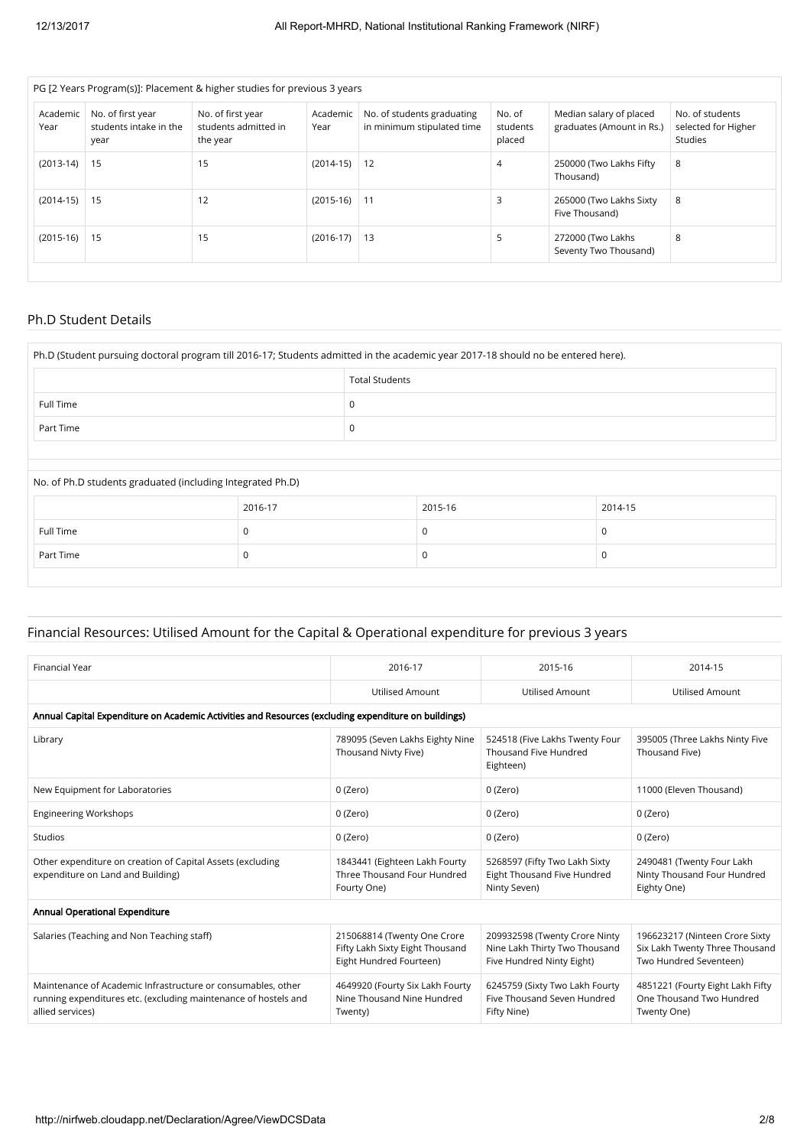|                  |                                                     | PG [2 Years Program(s)]: Placement & higher studies for previous 3 years |                  |                                                          |                              |                                                      |                                                   |
|------------------|-----------------------------------------------------|--------------------------------------------------------------------------|------------------|----------------------------------------------------------|------------------------------|------------------------------------------------------|---------------------------------------------------|
| Academic<br>Year | No. of first year<br>students intake in the<br>year | No. of first year<br>students admitted in<br>the year                    | Academic<br>Year | No. of students graduating<br>in minimum stipulated time | No. of<br>students<br>placed | Median salary of placed<br>graduates (Amount in Rs.) | No. of students<br>selected for Higher<br>Studies |
| $(2013-14)$      | 15                                                  | 15                                                                       | $(2014-15)$      | 12                                                       | $\overline{4}$               | 250000 (Two Lakhs Fifty<br>Thousand)                 | 8                                                 |
| $(2014-15)$      | $\vert$ 15                                          | 12                                                                       | $(2015-16)$      | 11                                                       | 3                            | 265000 (Two Lakhs Sixty<br>Five Thousand)            | 8                                                 |
| $(2015-16)$      | 15                                                  | 15                                                                       | $(2016-17)$      | 13                                                       | 5                            | 272000 (Two Lakhs<br>Seventy Two Thousand)           | 8                                                 |
|                  |                                                     |                                                                          |                  |                                                          |                              |                                                      |                                                   |

#### Ph.D Student Details

| Ph.D (Student pursuing doctoral program till 2016-17; Students admitted in the academic year 2017-18 should no be entered here). |         |   |          |         |  |  |  |
|----------------------------------------------------------------------------------------------------------------------------------|---------|---|----------|---------|--|--|--|
|                                                                                                                                  |         |   |          |         |  |  |  |
| Full Time                                                                                                                        | 0       |   |          |         |  |  |  |
| Part Time                                                                                                                        |         | 0 |          |         |  |  |  |
|                                                                                                                                  |         |   |          |         |  |  |  |
| No. of Ph.D students graduated (including Integrated Ph.D)                                                                       |         |   |          |         |  |  |  |
|                                                                                                                                  | 2016-17 |   | 2015-16  | 2014-15 |  |  |  |
| Full Time                                                                                                                        | 0       |   | $\Omega$ | 0       |  |  |  |
| Part Time                                                                                                                        | 0       |   | 0        | 0       |  |  |  |
|                                                                                                                                  |         |   |          |         |  |  |  |

## Financial Resources: Utilised Amount for the Capital & Operational expenditure for previous 3 years

| Financial Year                                                                                                                                      | 2016-17                                                                                   | 2015-16                                                                                     | 2014-15                                                                                    |
|-----------------------------------------------------------------------------------------------------------------------------------------------------|-------------------------------------------------------------------------------------------|---------------------------------------------------------------------------------------------|--------------------------------------------------------------------------------------------|
|                                                                                                                                                     | <b>Utilised Amount</b>                                                                    | <b>Utilised Amount</b>                                                                      | <b>Utilised Amount</b>                                                                     |
| Annual Capital Expenditure on Academic Activities and Resources (excluding expenditure on buildings)                                                |                                                                                           |                                                                                             |                                                                                            |
| Library                                                                                                                                             | 789095 (Seven Lakhs Eighty Nine<br>Thousand Nivty Five)                                   | 524518 (Five Lakhs Twenty Four<br>Thousand Five Hundred<br>Eighteen)                        | 395005 (Three Lakhs Ninty Five<br>Thousand Five)                                           |
| New Equipment for Laboratories                                                                                                                      | 0 (Zero)                                                                                  | 0 (Zero)                                                                                    | 11000 (Eleven Thousand)                                                                    |
| <b>Engineering Workshops</b>                                                                                                                        | 0 (Zero)                                                                                  | 0 (Zero)                                                                                    | 0 (Zero)                                                                                   |
| Studios                                                                                                                                             | 0 (Zero)                                                                                  | 0 (Zero)                                                                                    | 0 (Zero)                                                                                   |
| Other expenditure on creation of Capital Assets (excluding<br>expenditure on Land and Building)                                                     | 1843441 (Eighteen Lakh Fourty<br>Three Thousand Four Hundred<br>Fourty One)               | 5268597 (Fifty Two Lakh Sixty<br>Eight Thousand Five Hundred<br>Ninty Seven)                | 2490481 (Twenty Four Lakh<br>Ninty Thousand Four Hundred<br>Eighty One)                    |
| Annual Operational Expenditure                                                                                                                      |                                                                                           |                                                                                             |                                                                                            |
| Salaries (Teaching and Non Teaching staff)                                                                                                          | 215068814 (Twenty One Crore<br>Fifty Lakh Sixty Eight Thousand<br>Eight Hundred Fourteen) | 209932598 (Twenty Crore Ninty<br>Nine Lakh Thirty Two Thousand<br>Five Hundred Ninty Eight) | 196623217 (Ninteen Crore Sixty<br>Six Lakh Twenty Three Thousand<br>Two Hundred Seventeen) |
| Maintenance of Academic Infrastructure or consumables, other<br>running expenditures etc. (excluding maintenance of hostels and<br>allied services) | 4649920 (Fourty Six Lakh Fourty<br>Nine Thousand Nine Hundred<br>Twenty)                  | 6245759 (Sixty Two Lakh Fourty<br>Five Thousand Seven Hundred<br>Fifty Nine)                | 4851221 (Fourty Eight Lakh Fifty<br>One Thousand Two Hundred<br>Twenty One)                |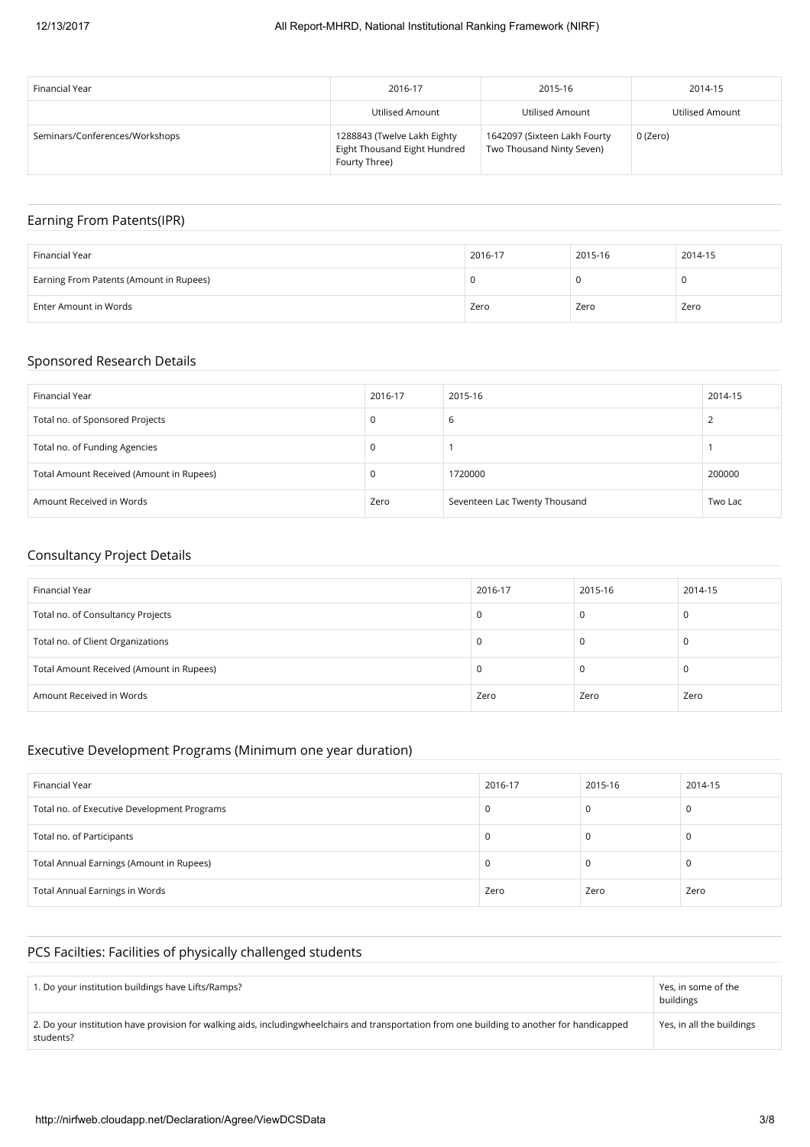| Financial Year                 | 2016-17                                                                      | 2015-16                                                   | 2014-15         |
|--------------------------------|------------------------------------------------------------------------------|-----------------------------------------------------------|-----------------|
|                                | Utilised Amount                                                              | Utilised Amount                                           | Utilised Amount |
| Seminars/Conferences/Workshops | 1288843 (Twelve Lakh Eighty<br>Eight Thousand Eight Hundred<br>Fourty Three) | 1642097 (Sixteen Lakh Fourty<br>Two Thousand Ninty Seven) | 0 (Zero)        |

## Earning From Patents(IPR)

| Financial Year                          | 2016-17 | 2015-16 | 2014-15 |
|-----------------------------------------|---------|---------|---------|
| Earning From Patents (Amount in Rupees) |         |         | u       |
| Enter Amount in Words                   | Zero    | Zero    | Zero    |

#### Sponsored Research Details

| Financial Year                           | 2016-17 | 2015-16                       | 2014-15 |
|------------------------------------------|---------|-------------------------------|---------|
| Total no. of Sponsored Projects          | 0       | b                             |         |
| Total no. of Funding Agencies            | 0       |                               |         |
| Total Amount Received (Amount in Rupees) | 0       | 1720000                       | 200000  |
| Amount Received in Words                 | Zero    | Seventeen Lac Twenty Thousand | Two Lac |

#### Consultancy Project Details

| Financial Year                           | 2016-17 | 2015-16 | 2014-15 |
|------------------------------------------|---------|---------|---------|
| Total no. of Consultancy Projects        | 0       | 0       |         |
| Total no. of Client Organizations        | 0       | 0       |         |
| Total Amount Received (Amount in Rupees) | U       | 0       |         |
| Amount Received in Words                 | Zero    | Zero    | Zero    |

#### Executive Development Programs (Minimum one year duration)

| Financial Year                              | 2016-17 | 2015-16 | 2014-15 |
|---------------------------------------------|---------|---------|---------|
| Total no. of Executive Development Programs | C       |         |         |
| Total no. of Participants                   | л.      |         |         |
| Total Annual Earnings (Amount in Rupees)    | C       |         |         |
| <b>Total Annual Earnings in Words</b>       | Zero    | Zero    | Zero    |

## PCS Facilties: Facilities of physically challenged students

| 1. Do your institution buildings have Lifts/Ramps?                                                                                                        | Yes, in some of the<br>buildings |
|-----------------------------------------------------------------------------------------------------------------------------------------------------------|----------------------------------|
| 2. Do your institution have provision for walking aids, includingwheelchairs and transportation from one building to another for handicapped<br>students? | Yes, in all the buildings        |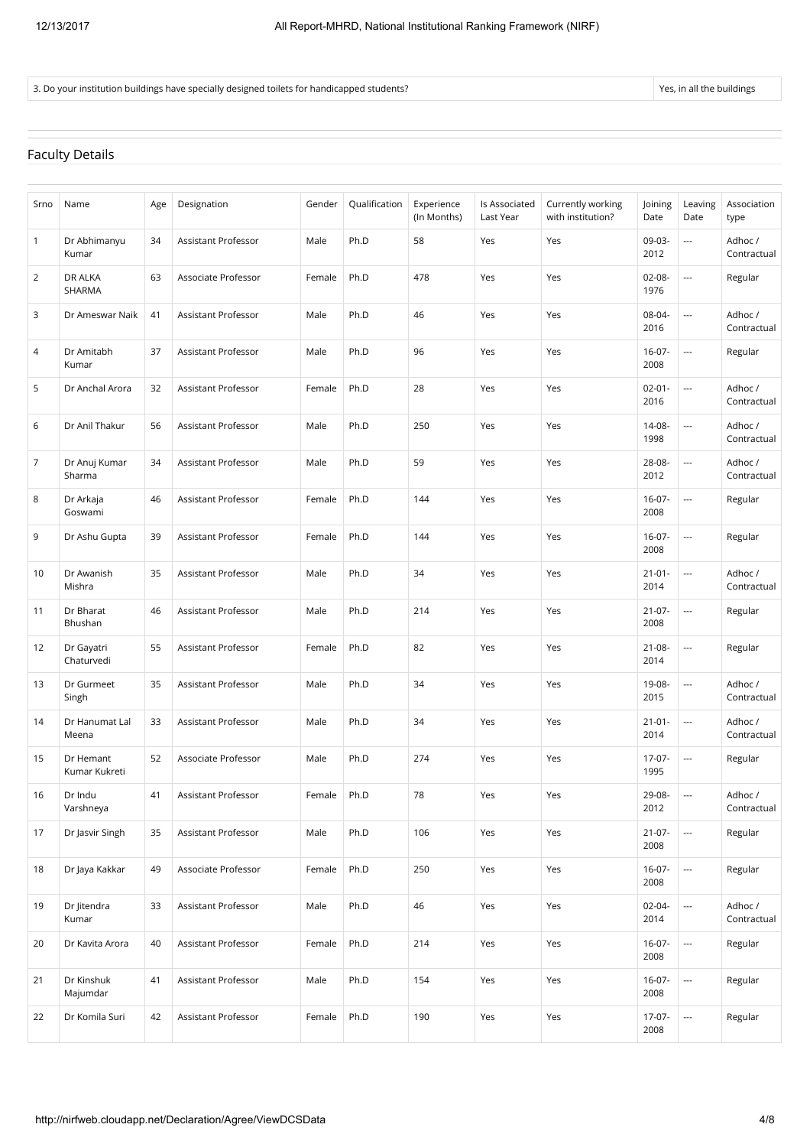#### 3. Do your institution buildings have specially designed toilets for handicapped students?

#### Faculty Details

| Srno | Name                       | Age | Designation         | Gender | Qualification | Experience  | Is Associated | Currently working | Joining             | Leaving                  | Association            |
|------|----------------------------|-----|---------------------|--------|---------------|-------------|---------------|-------------------|---------------------|--------------------------|------------------------|
|      |                            |     |                     |        |               | (In Months) | Last Year     | with institution? | Date                | Date                     | type                   |
| 1    | Dr Abhimanyu<br>Kumar      | 34  | Assistant Professor | Male   | Ph.D          | 58          | Yes           | Yes               | 09-03-<br>2012      | $\overline{a}$           | Adhoc /<br>Contractual |
| 2    | DR ALKA<br>SHARMA          | 63  | Associate Professor | Female | Ph.D          | 478         | Yes           | Yes               | 02-08-<br>1976      |                          | Regular                |
| 3    | Dr Ameswar Naik            | 41  | Assistant Professor | Male   | Ph.D          | 46          | Yes           | Yes               | 08-04-<br>2016      |                          | Adhoc /<br>Contractual |
| 4    | Dr Amitabh<br>Kumar        | 37  | Assistant Professor | Male   | Ph.D          | 96          | Yes           | Yes               | $16-07-$<br>2008    | $\overline{a}$           | Regular                |
| 5    | Dr Anchal Arora            | 32  | Assistant Professor | Female | Ph.D          | 28          | Yes           | Yes               | $02 - 01 -$<br>2016 | $\overline{a}$           | Adhoc /<br>Contractual |
| 6    | Dr Anil Thakur             | 56  | Assistant Professor | Male   | Ph.D          | 250         | Yes           | Yes               | 14-08-<br>1998      | $\overline{a}$           | Adhoc /<br>Contractual |
| 7    | Dr Anuj Kumar<br>Sharma    | 34  | Assistant Professor | Male   | Ph.D          | 59          | Yes           | Yes               | 28-08-<br>2012      | $\overline{\phantom{a}}$ | Adhoc /<br>Contractual |
| 8    | Dr Arkaja<br>Goswami       | 46  | Assistant Professor | Female | Ph.D          | 144         | Yes           | Yes               | $16 - 07 -$<br>2008 | $\overline{\phantom{a}}$ | Regular                |
| 9    | Dr Ashu Gupta              | 39  | Assistant Professor | Female | Ph.D          | 144         | Yes           | Yes               | $16 - 07 -$<br>2008 | $\overline{\phantom{a}}$ | Regular                |
| 10   | Dr Awanish<br>Mishra       | 35  | Assistant Professor | Male   | Ph.D          | 34          | Yes           | Yes               | $21 - 01 -$<br>2014 | $\overline{a}$           | Adhoc /<br>Contractual |
| 11   | Dr Bharat<br>Bhushan       | 46  | Assistant Professor | Male   | Ph.D          | 214         | Yes           | Yes               | $21-07-$<br>2008    | $\overline{\phantom{a}}$ | Regular                |
| 12   | Dr Gayatri<br>Chaturvedi   | 55  | Assistant Professor | Female | Ph.D          | 82          | Yes           | Yes               | 21-08-<br>2014      | $\overline{a}$           | Regular                |
| 13   | Dr Gurmeet<br>Singh        | 35  | Assistant Professor | Male   | Ph.D          | 34          | Yes           | Yes               | 19-08-<br>2015      | $\overline{\phantom{a}}$ | Adhoc /<br>Contractual |
| 14   | Dr Hanumat Lal<br>Meena    | 33  | Assistant Professor | Male   | Ph.D          | 34          | Yes           | Yes               | $21 - 01 -$<br>2014 | $\overline{\phantom{a}}$ | Adhoc /<br>Contractual |
| 15   | Dr Hemant<br>Kumar Kukreti | 52  | Associate Professor | Male   | Ph.D          | 274         | Yes           | Yes               | 17-07-<br>1995      | $\overline{a}$           | Regular                |
| 16   | Dr Indu<br>Varshneya       | 41  | Assistant Professor | Female | Ph.D          | 78          | Yes           | Yes               | 29-08-<br>2012      | $\hspace{0.05cm} \ldots$ | Adhoc /<br>Contractual |
| 17   | Dr Jasvir Singh            | 35  | Assistant Professor | Male   | Ph.D          | 106         | Yes           | Yes               | $21-07-$<br>2008    |                          | Regular                |
| 18   | Dr Jaya Kakkar             | 49  | Associate Professor | Female | Ph.D          | 250         | Yes           | Yes               | $16-07-$<br>2008    |                          | Regular                |
| 19   | Dr Jitendra<br>Kumar       | 33  | Assistant Professor | Male   | Ph.D          | 46          | Yes           | Yes               | $02 - 04 -$<br>2014 |                          | Adhoc /<br>Contractual |
| 20   | Dr Kavita Arora            | 40  | Assistant Professor | Female | Ph.D          | 214         | Yes           | Yes               | $16-07-$<br>2008    | $\overline{\phantom{a}}$ | Regular                |
| 21   | Dr Kinshuk<br>Majumdar     | 41  | Assistant Professor | Male   | Ph.D          | 154         | Yes           | Yes               | $16 - 07 -$<br>2008 |                          | Regular                |
| 22   | Dr Komila Suri             | 42  | Assistant Professor | Female | Ph.D          | 190         | Yes           | Yes               | $17-07-$<br>2008    | $\overline{a}$           | Regular                |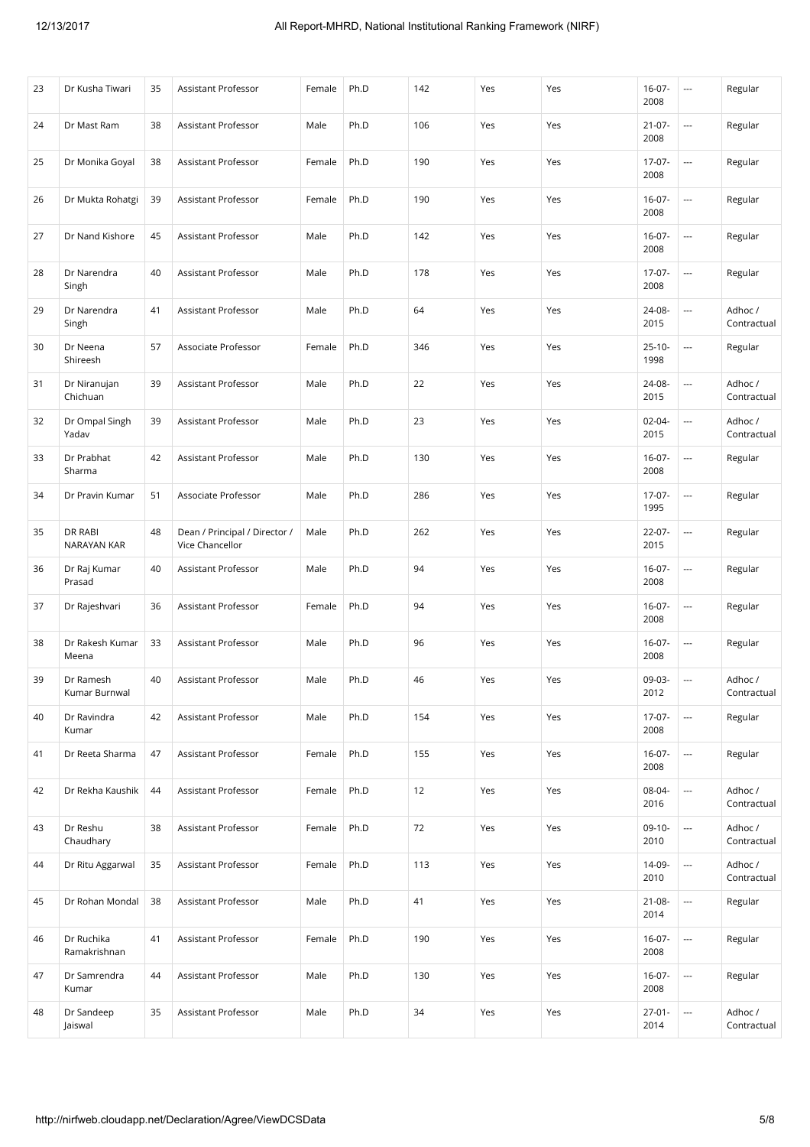| 23 | Dr Kusha Tiwari               | 35 | Assistant Professor                              | Female | Ph.D | 142 | Yes | Yes | $16-07-$<br>2008    | $\ldots$                 | Regular                |
|----|-------------------------------|----|--------------------------------------------------|--------|------|-----|-----|-----|---------------------|--------------------------|------------------------|
| 24 | Dr Mast Ram                   | 38 | Assistant Professor                              | Male   | Ph.D | 106 | Yes | Yes | $21 - 07 -$<br>2008 | $\cdots$                 | Regular                |
| 25 | Dr Monika Goyal               | 38 | Assistant Professor                              | Female | Ph.D | 190 | Yes | Yes | $17-07-$<br>2008    | $\overline{\phantom{a}}$ | Regular                |
| 26 | Dr Mukta Rohatgi              | 39 | Assistant Professor                              | Female | Ph.D | 190 | Yes | Yes | $16 - 07 -$<br>2008 | $\overline{\phantom{a}}$ | Regular                |
| 27 | Dr Nand Kishore               | 45 | Assistant Professor                              | Male   | Ph.D | 142 | Yes | Yes | $16-07-$<br>2008    | $\overline{\phantom{a}}$ | Regular                |
| 28 | Dr Narendra<br>Singh          | 40 | <b>Assistant Professor</b>                       | Male   | Ph.D | 178 | Yes | Yes | $17-07-$<br>2008    | $\overline{\phantom{a}}$ | Regular                |
| 29 | Dr Narendra<br>Singh          | 41 | Assistant Professor                              | Male   | Ph.D | 64  | Yes | Yes | 24-08-<br>2015      | $\overline{\phantom{a}}$ | Adhoc /<br>Contractual |
| 30 | Dr Neena<br>Shireesh          | 57 | Associate Professor                              | Female | Ph.D | 346 | Yes | Yes | $25 - 10 -$<br>1998 | $\overline{\phantom{a}}$ | Regular                |
| 31 | Dr Niranujan<br>Chichuan      | 39 | Assistant Professor                              | Male   | Ph.D | 22  | Yes | Yes | 24-08-<br>2015      | ---                      | Adhoc /<br>Contractual |
| 32 | Dr Ompal Singh<br>Yadav       | 39 | Assistant Professor                              | Male   | Ph.D | 23  | Yes | Yes | $02 - 04 -$<br>2015 | ---                      | Adhoc /<br>Contractual |
| 33 | Dr Prabhat<br>Sharma          | 42 | Assistant Professor                              | Male   | Ph.D | 130 | Yes | Yes | $16-07-$<br>2008    | $\overline{\phantom{a}}$ | Regular                |
| 34 | Dr Pravin Kumar               | 51 | Associate Professor                              | Male   | Ph.D | 286 | Yes | Yes | 17-07-<br>1995      | ---                      | Regular                |
| 35 | DR RABI<br><b>NARAYAN KAR</b> | 48 | Dean / Principal / Director /<br>Vice Chancellor | Male   | Ph.D | 262 | Yes | Yes | 22-07-<br>2015      | $\cdots$                 | Regular                |
| 36 | Dr Raj Kumar<br>Prasad        | 40 | Assistant Professor                              | Male   | Ph.D | 94  | Yes | Yes | $16-07-$<br>2008    |                          | Regular                |
| 37 | Dr Rajeshvari                 | 36 | Assistant Professor                              | Female | Ph.D | 94  | Yes | Yes | $16-07-$<br>2008    | $\overline{\phantom{a}}$ | Regular                |
| 38 | Dr Rakesh Kumar<br>Meena      | 33 | <b>Assistant Professor</b>                       | Male   | Ph.D | 96  | Yes | Yes | $16-07-$<br>2008    |                          | Regular                |
| 39 | Dr Ramesh<br>Kumar Burnwal    | 40 | Assistant Professor                              | Male   | Ph.D | 46  | Yes | Yes | 09-03-<br>2012      | $\overline{\phantom{a}}$ | Adhoc /<br>Contractual |
| 40 | Dr Ravindra<br>Kumar          | 42 | <b>Assistant Professor</b>                       | Male   | Ph.D | 154 | Yes | Yes | $17-07-$<br>2008    | $\overline{\phantom{a}}$ | Regular                |
| 41 | Dr Reeta Sharma               | 47 | Assistant Professor                              | Female | Ph.D | 155 | Yes | Yes | $16 - 07 -$<br>2008 | $\overline{\phantom{a}}$ | Regular                |
| 42 | Dr Rekha Kaushik              | 44 | Assistant Professor                              | Female | Ph.D | 12  | Yes | Yes | 08-04-<br>2016      | $\overline{\phantom{a}}$ | Adhoc /<br>Contractual |
| 43 | Dr Reshu<br>Chaudhary         | 38 | Assistant Professor                              | Female | Ph.D | 72  | Yes | Yes | $09-10-$<br>2010    | $\cdots$                 | Adhoc /<br>Contractual |
| 44 | Dr Ritu Aggarwal              | 35 | Assistant Professor                              | Female | Ph.D | 113 | Yes | Yes | 14-09-<br>2010      | $\cdots$                 | Adhoc /<br>Contractual |
| 45 | Dr Rohan Mondal               | 38 | Assistant Professor                              | Male   | Ph.D | 41  | Yes | Yes | 21-08-<br>2014      | $\overline{\phantom{a}}$ | Regular                |
| 46 | Dr Ruchika<br>Ramakrishnan    | 41 | Assistant Professor                              | Female | Ph.D | 190 | Yes | Yes | $16-07-$<br>2008    | $\overline{\phantom{a}}$ | Regular                |
| 47 | Dr Samrendra<br>Kumar         | 44 | Assistant Professor                              | Male   | Ph.D | 130 | Yes | Yes | $16-07-$<br>2008    | $\overline{\phantom{a}}$ | Regular                |
| 48 | Dr Sandeep<br>Jaiswal         | 35 | Assistant Professor                              | Male   | Ph.D | 34  | Yes | Yes | $27 - 01 -$<br>2014 | $\overline{\phantom{a}}$ | Adhoc /<br>Contractual |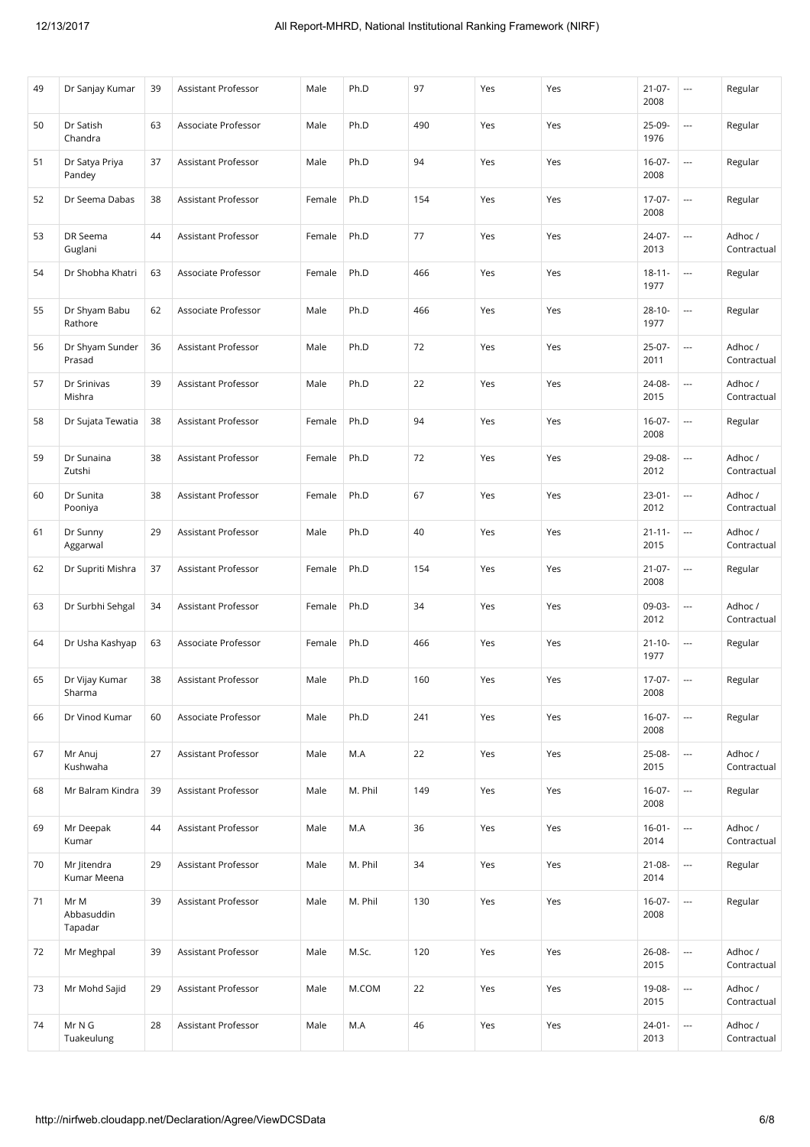| 49 | Dr Sanjay Kumar               | 39 | Assistant Professor        | Male   | Ph.D    | 97  | Yes | Yes | $21-07-$<br>2008    | $\overline{\phantom{a}}$ | Regular                |
|----|-------------------------------|----|----------------------------|--------|---------|-----|-----|-----|---------------------|--------------------------|------------------------|
| 50 | Dr Satish<br>Chandra          | 63 | Associate Professor        | Male   | Ph.D    | 490 | Yes | Yes | 25-09-<br>1976      |                          | Regular                |
| 51 | Dr Satya Priya<br>Pandey      | 37 | Assistant Professor        | Male   | Ph.D    | 94  | Yes | Yes | $16-07-$<br>2008    |                          | Regular                |
| 52 | Dr Seema Dabas                | 38 | Assistant Professor        | Female | Ph.D    | 154 | Yes | Yes | 17-07-<br>2008      |                          | Regular                |
| 53 | DR Seema<br>Guglani           | 44 | Assistant Professor        | Female | Ph.D    | 77  | Yes | Yes | 24-07-<br>2013      |                          | Adhoc /<br>Contractual |
| 54 | Dr Shobha Khatri              | 63 | Associate Professor        | Female | Ph.D    | 466 | Yes | Yes | $18 - 11 -$<br>1977 | $\cdots$                 | Regular                |
| 55 | Dr Shyam Babu<br>Rathore      | 62 | Associate Professor        | Male   | Ph.D    | 466 | Yes | Yes | $28 - 10 -$<br>1977 | $\overline{\phantom{a}}$ | Regular                |
| 56 | Dr Shyam Sunder<br>Prasad     | 36 | Assistant Professor        | Male   | Ph.D    | 72  | Yes | Yes | 25-07-<br>2011      | $\overline{\phantom{a}}$ | Adhoc /<br>Contractual |
| 57 | Dr Srinivas<br>Mishra         | 39 | Assistant Professor        | Male   | Ph.D    | 22  | Yes | Yes | 24-08-<br>2015      | $\overline{\phantom{a}}$ | Adhoc /<br>Contractual |
| 58 | Dr Sujata Tewatia             | 38 | Assistant Professor        | Female | Ph.D    | 94  | Yes | Yes | $16 - 07 -$<br>2008 |                          | Regular                |
| 59 | Dr Sunaina<br>Zutshi          | 38 | Assistant Professor        | Female | Ph.D    | 72  | Yes | Yes | 29-08-<br>2012      | $\overline{\phantom{a}}$ | Adhoc /<br>Contractual |
| 60 | Dr Sunita<br>Pooniya          | 38 | Assistant Professor        | Female | Ph.D    | 67  | Yes | Yes | $23-01-$<br>2012    | ---                      | Adhoc /<br>Contractual |
| 61 | Dr Sunny<br>Aggarwal          | 29 | Assistant Professor        | Male   | Ph.D    | 40  | Yes | Yes | $21 - 11 -$<br>2015 |                          | Adhoc /<br>Contractual |
| 62 | Dr Supriti Mishra             | 37 | Assistant Professor        | Female | Ph.D    | 154 | Yes | Yes | $21-07-$<br>2008    |                          | Regular                |
| 63 | Dr Surbhi Sehgal              | 34 | Assistant Professor        | Female | Ph.D    | 34  | Yes | Yes | 09-03-<br>2012      |                          | Adhoc /<br>Contractual |
| 64 | Dr Usha Kashyap               | 63 | Associate Professor        | Female | Ph.D    | 466 | Yes | Yes | $21 - 10 -$<br>1977 |                          | Regular                |
| 65 | Dr Vijay Kumar<br>Sharma      | 38 | Assistant Professor        | Male   | Ph.D    | 160 | Yes | Yes | 17-07-<br>2008      | $\overline{a}$           | Regular                |
| 66 | Dr Vinod Kumar                | 60 | Associate Professor        | Male   | Ph.D    | 241 | Yes | Yes | $16-07-$<br>2008    |                          | Regular                |
| 67 | Mr Anuj<br>Kushwaha           | 27 | Assistant Professor        | Male   | M.A     | 22  | Yes | Yes | 25-08-<br>2015      | $\overline{\phantom{a}}$ | Adhoc /<br>Contractual |
| 68 | Mr Balram Kindra              | 39 | Assistant Professor        | Male   | M. Phil | 149 | Yes | Yes | $16 - 07 -$<br>2008 |                          | Regular                |
| 69 | Mr Deepak<br>Kumar            | 44 | <b>Assistant Professor</b> | Male   | M.A     | 36  | Yes | Yes | $16 - 01 -$<br>2014 |                          | Adhoc /<br>Contractual |
| 70 | Mr Jitendra<br>Kumar Meena    | 29 | Assistant Professor        | Male   | M. Phil | 34  | Yes | Yes | $21 - 08 -$<br>2014 | $\overline{\phantom{a}}$ | Regular                |
| 71 | Mr M<br>Abbasuddin<br>Tapadar | 39 | Assistant Professor        | Male   | M. Phil | 130 | Yes | Yes | $16 - 07 -$<br>2008 |                          | Regular                |
| 72 | Mr Meghpal                    | 39 | Assistant Professor        | Male   | M.Sc.   | 120 | Yes | Yes | 26-08-<br>2015      | $\overline{\phantom{a}}$ | Adhoc /<br>Contractual |
| 73 | Mr Mohd Sajid                 | 29 | Assistant Professor        | Male   | M.COM   | 22  | Yes | Yes | 19-08-<br>2015      | $\ldots$                 | Adhoc /<br>Contractual |
| 74 | Mr N G<br>Tuakeulung          | 28 | Assistant Professor        | Male   | M.A     | 46  | Yes | Yes | $24 - 01 -$<br>2013 | $\overline{\phantom{a}}$ | Adhoc /<br>Contractual |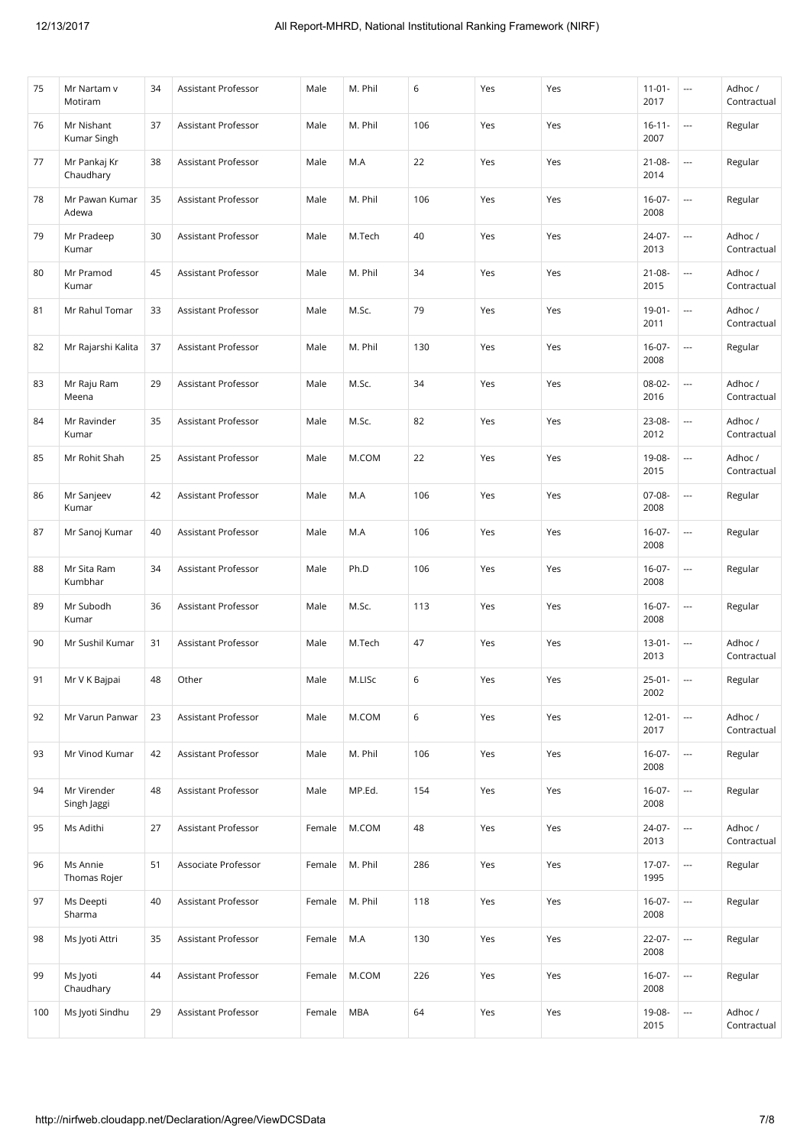| 75  | Mr Nartam v<br>Motiram     | 34 | Assistant Professor        | Male   | M. Phil    | 6   | Yes | Yes | $11 - 01 -$<br>2017 | $\overline{\phantom{a}}$ | Adhoc /<br>Contractual |
|-----|----------------------------|----|----------------------------|--------|------------|-----|-----|-----|---------------------|--------------------------|------------------------|
| 76  | Mr Nishant<br>Kumar Singh  | 37 | Assistant Professor        | Male   | M. Phil    | 106 | Yes | Yes | $16 - 11 -$<br>2007 | $\overline{\phantom{a}}$ | Regular                |
| 77  | Mr Pankaj Kr<br>Chaudhary  | 38 | Assistant Professor        | Male   | M.A        | 22  | Yes | Yes | $21 - 08 -$<br>2014 | $\overline{a}$           | Regular                |
| 78  | Mr Pawan Kumar<br>Adewa    | 35 | Assistant Professor        | Male   | M. Phil    | 106 | Yes | Yes | $16-07-$<br>2008    | $\overline{\phantom{a}}$ | Regular                |
| 79  | Mr Pradeep<br>Kumar        | 30 | Assistant Professor        | Male   | M.Tech     | 40  | Yes | Yes | 24-07-<br>2013      | $\overline{\phantom{a}}$ | Adhoc /<br>Contractual |
| 80  | Mr Pramod<br>Kumar         | 45 | Assistant Professor        | Male   | M. Phil    | 34  | Yes | Yes | $21 - 08 -$<br>2015 | $\overline{\phantom{a}}$ | Adhoc /<br>Contractual |
| 81  | Mr Rahul Tomar             | 33 | Assistant Professor        | Male   | M.Sc.      | 79  | Yes | Yes | $19 - 01 -$<br>2011 | $\overline{\phantom{a}}$ | Adhoc /<br>Contractual |
| 82  | Mr Rajarshi Kalita         | 37 | Assistant Professor        | Male   | M. Phil    | 130 | Yes | Yes | $16-07-$<br>2008    | $\overline{\phantom{a}}$ | Regular                |
| 83  | Mr Raju Ram<br>Meena       | 29 | Assistant Professor        | Male   | M.Sc.      | 34  | Yes | Yes | 08-02-<br>2016      | ---                      | Adhoc /<br>Contractual |
| 84  | Mr Ravinder<br>Kumar       | 35 | Assistant Professor        | Male   | M.Sc.      | 82  | Yes | Yes | 23-08-<br>2012      | ---                      | Adhoc /<br>Contractual |
| 85  | Mr Rohit Shah              | 25 | Assistant Professor        | Male   | M.COM      | 22  | Yes | Yes | 19-08-<br>2015      | ---                      | Adhoc /<br>Contractual |
| 86  | Mr Sanjeev<br>Kumar        | 42 | Assistant Professor        | Male   | M.A        | 106 | Yes | Yes | 07-08-<br>2008      | ---                      | Regular                |
| 87  | Mr Sanoj Kumar             | 40 | Assistant Professor        | Male   | M.A        | 106 | Yes | Yes | $16-07-$<br>2008    |                          | Regular                |
| 88  | Mr Sita Ram<br>Kumbhar     | 34 | Assistant Professor        | Male   | Ph.D       | 106 | Yes | Yes | $16-07-$<br>2008    |                          | Regular                |
| 89  | Mr Subodh<br>Kumar         | 36 | Assistant Professor        | Male   | M.Sc.      | 113 | Yes | Yes | $16-07-$<br>2008    | $\overline{\phantom{a}}$ | Regular                |
| 90  | Mr Sushil Kumar            | 31 | Assistant Professor        | Male   | M.Tech     | 47  | Yes | Yes | $13 - 01 -$<br>2013 | ---                      | Adhoc /<br>Contractual |
| 91  | Mr V K Bajpai              | 48 | Other                      | Male   | M.LISc     | 6   | Yes | Yes | $25 - 01 -$<br>2002 | $\overline{\phantom{a}}$ | Regular                |
| 92  | Mr Varun Panwar            | 23 | <b>Assistant Professor</b> | Male   | M.COM      | 6   | Yes | Yes | $12 - 01 -$<br>2017 |                          | Adhoc /<br>Contractual |
| 93  | Mr Vinod Kumar             | 42 | <b>Assistant Professor</b> | Male   | M. Phil    | 106 | Yes | Yes | $16 - 07 -$<br>2008 | $\overline{\phantom{a}}$ | Regular                |
| 94  | Mr Virender<br>Singh Jaggi | 48 | Assistant Professor        | Male   | MP.Ed.     | 154 | Yes | Yes | $16 - 07 -$<br>2008 | $\overline{\phantom{a}}$ | Regular                |
| 95  | Ms Adithi                  | 27 | Assistant Professor        | Female | M.COM      | 48  | Yes | Yes | 24-07-<br>2013      |                          | Adhoc /<br>Contractual |
| 96  | Ms Annie<br>Thomas Rojer   | 51 | Associate Professor        | Female | M. Phil    | 286 | Yes | Yes | $17-07-$<br>1995    | $\overline{\phantom{a}}$ | Regular                |
| 97  | Ms Deepti<br>Sharma        | 40 | Assistant Professor        | Female | M. Phil    | 118 | Yes | Yes | $16 - 07 -$<br>2008 | $\overline{\phantom{a}}$ | Regular                |
| 98  | Ms Jyoti Attri             | 35 | Assistant Professor        | Female | M.A        | 130 | Yes | Yes | 22-07-<br>2008      | $\overline{\phantom{a}}$ | Regular                |
| 99  | Ms Jyoti<br>Chaudhary      | 44 | Assistant Professor        | Female | M.COM      | 226 | Yes | Yes | $16 - 07 -$<br>2008 | $\overline{\phantom{a}}$ | Regular                |
| 100 | Ms Jyoti Sindhu            | 29 | Assistant Professor        | Female | <b>MBA</b> | 64  | Yes | Yes | 19-08-<br>2015      | $\overline{a}$           | Adhoc /<br>Contractual |